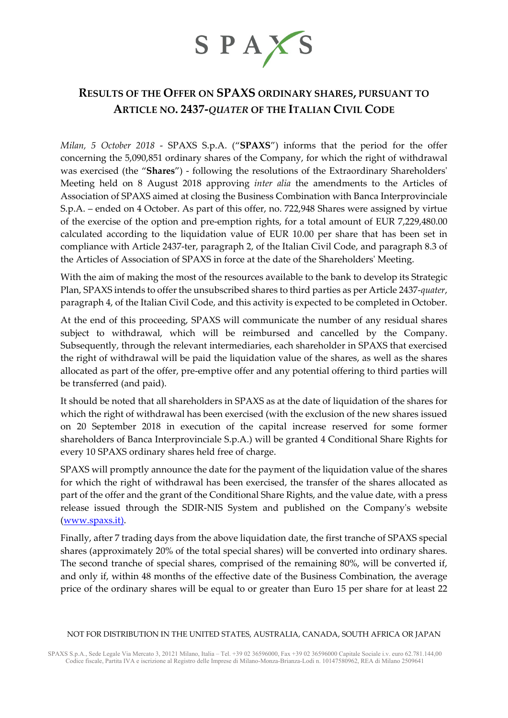

# **RESULTS OF THE OFFER ON SPAXS ORDINARY SHARES, PURSUANT TO ARTICLE NO. 2437-***QUATER* **OF THE ITALIAN CIVIL CODE**

*Milan, 5 October 2018* - SPAXS S.p.A. ("**SPAXS**") informs that the period for the offer concerning the 5,090,851 ordinary shares of the Company, for which the right of withdrawal was exercised (the "**Shares**") - following the resolutions of the Extraordinary Shareholders' Meeting held on 8 August 2018 approving *inter alia* the amendments to the Articles of Association of SPAXS aimed at closing the Business Combination with Banca Interprovinciale S.p.A. – ended on 4 October. As part of this offer, no. 722,948 Shares were assigned by virtue of the exercise of the option and pre-emption rights, for a total amount of EUR 7,229,480.00 calculated according to the liquidation value of EUR 10.00 per share that has been set in compliance with Article 2437-ter, paragraph 2, of the Italian Civil Code, and paragraph 8.3 of the Articles of Association of SPAXS in force at the date of the Shareholders' Meeting.

With the aim of making the most of the resources available to the bank to develop its Strategic Plan, SPAXS intends to offer the unsubscribed shares to third parties as per Article 2437-*quater*, paragraph 4, of the Italian Civil Code, and this activity is expected to be completed in October.

At the end of this proceeding, SPAXS will communicate the number of any residual shares subject to withdrawal, which will be reimbursed and cancelled by the Company. Subsequently, through the relevant intermediaries, each shareholder in SPAXS that exercised the right of withdrawal will be paid the liquidation value of the shares, as well as the shares allocated as part of the offer, pre-emptive offer and any potential offering to third parties will be transferred (and paid).

It should be noted that all shareholders in SPAXS as at the date of liquidation of the shares for which the right of withdrawal has been exercised (with the exclusion of the new shares issued on 20 September 2018 in execution of the capital increase reserved for some former shareholders of Banca Interprovinciale S.p.A.) will be granted 4 Conditional Share Rights for every 10 SPAXS ordinary shares held free of charge.

SPAXS will promptly announce the date for the payment of the liquidation value of the shares for which the right of withdrawal has been exercised, the transfer of the shares allocated as part of the offer and the grant of the Conditional Share Rights, and the value date, with a press release issued through the SDIR-NIS System and published on the Company's website [\(www.spaxs.it\)](http://www.spaxs.it/).

Finally, after 7 trading days from the above liquidation date, the first tranche of SPAXS special shares (approximately 20% of the total special shares) will be converted into ordinary shares. The second tranche of special shares, comprised of the remaining 80%, will be converted if, and only if, within 48 months of the effective date of the Business Combination, the average price of the ordinary shares will be equal to or greater than Euro 15 per share for at least 22

#### NOT FOR DISTRIBUTION IN THE UNITED STATES, AUSTRALIA, CANADA, SOUTH AFRICA OR JAPAN